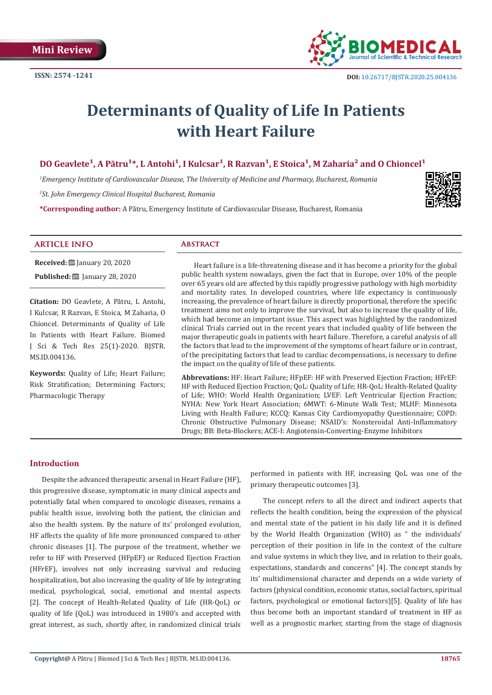

# **Determinants of Quality of Life In Patients with Heart Failure**

# DO Geavlete<sup>1</sup>, A Pătru<sup>1\*</sup>, L Antohi<sup>1</sup>, I Kulcsar<sup>1</sup>, R Razvan<sup>1</sup>, E Stoica<sup>1</sup>, M Zaharia<sup>2</sup> and O Chioncel<sup>1</sup>

*1 Emergency Institute of Cardiovascular Disease, The University of Medicine and Pharmacy, Bucharest, Romania 2 St. John Emergency Clinical Hospital Bucharest, Romania*

**\*Corresponding author:** A Pătru, Emergency Institute of Cardiovascular Disease, Bucharest, Romania



# **ARTICLE INFO Abstract**

**Received: ■ January 20, 2020 Published:** ■ January 28, 2020

**Citation:** DO Geavlete, A Pătru, L Antohi, I Kulcsar, R Razvan, E Stoica, M Zaharia, O Chioncel. Determinants of Quality of Life In Patients with Heart Failure. Biomed J Sci & Tech Res 25(1)-2020. BJSTR. MS.ID.004136.

**Keywords:** Quality of Life; Heart Failure; Risk Stratification; Determining Factors; Pharmacologic Therapy

Heart failure is a life-threatening disease and it has become a priority for the global public health system nowadays, given the fact that in Europe, over 10% of the people over 65 years old are affected by this rapidly progressive pathology with high morbidity and mortality rates. In developed countries, where life expectancy is continuously increasing, the prevalence of heart failure is directly proportional, therefore the specific treatment aims not only to improve the survival, but also to increase the quality of life, which had become an important issue. This aspect was highlighted by the randomized clinical Trials carried out in the recent years that included quality of life between the major therapeutic goals in patients with heart failure. Therefore, a careful analysis of all the factors that lead to the improvement of the symptoms of heart failure or in contrast, of the precipitating factors that lead to cardiac decompensations, is necessary to define the impact on the quality of life of these patients.

**Abbrevations:** HF: Heart Failure; HFpEF: HF with Preserved Ejection Fraction; HFrEF: HF with Reduced Ejection Fraction; QoL: Quality of Life; HR-QoL: Health-Related Quality of Life; WHO: World Health Organization; LVEF: Left Ventricular Ejection Fraction; NYHA: New York Heart Association; 6MWT: 6-Minute Walk Test; MLHF: Minnesota Living with Health Failure; KCCQ: Kansas City Cardiomyopathy Questionnaire; COPD: Chronic Obstructive Pulmonary Disease; NSAID's: Nonsteroidal Anti-Inflammatory Drugs; BB: Beta-Blockers; ACE-I: Angiotensin-Converting-Enzyme Inhibitors

# **Introduction**

Despite the advanced therapeutic arsenal in Heart Failure (HF), this progressive disease, symptomatic in many clinical aspects and potentially fatal when compared to oncologic diseases, remains a public health issue, involving both the patient, the clinician and also the health system. By the nature of its' prolonged evolution, HF affects the quality of life more pronounced compared to other chronic diseases [1]. The purpose of the treatment, whether we refer to HF with Preserved (HFpEF) or Reduced Ejection Fraction (HFrEF), involves not only increasing survival and reducing hospitalization, but also increasing the quality of life by integrating medical, psychological, social, emotional and mental aspects [2]. The concept of Health-Related Quality of Life (HR-QoL) or quality of life (QoL) was introduced in 1980's and accepted with great interest, as such, shortly after, in randomized clinical trials

performed in patients with HF, increasing QoL was one of the primary therapeutic outcomes [3].

The concept refers to all the direct and indirect aspects that reflects the health condition, being the expression of the physical and mental state of the patient in his daily life and it is defined by the World Health Organization (WHO) as " the individuals' perception of their position in life in the context of the culture and value systems in which they live, and in relation to their goals, expectations, standards and concerns" [4]. The concept stands by its' multidimensional character and depends on a wide variety of factors (physical condition, economic status, social factors, spiritual factors, psychological or emotional factors)[5]. Quality of life has thus become both an important standard of treatment in HF as well as a prognostic marker, starting from the stage of diagnosis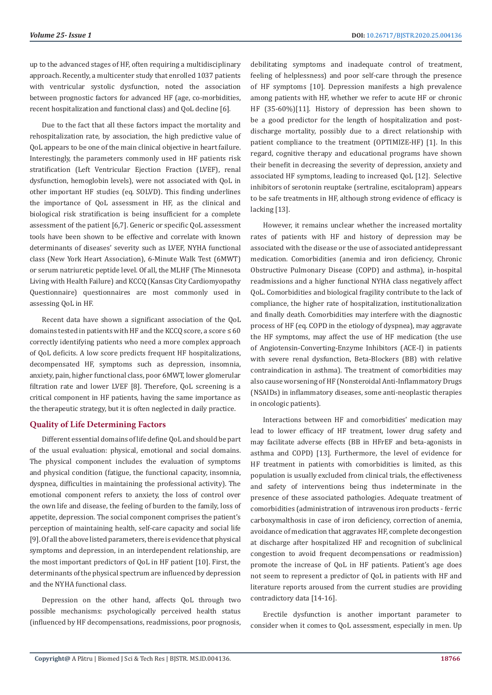up to the advanced stages of HF, often requiring a multidisciplinary approach. Recently, a multicenter study that enrolled 1037 patients with ventricular systolic dysfunction, noted the association between prognostic factors for advanced HF (age, co-morbidities, recent hospitalization and functional class) and QoL decline [6].

Due to the fact that all these factors impact the mortality and rehospitalization rate, by association, the high predictive value of QoL appears to be one of the main clinical objective in heart failure. Interestingly, the parameters commonly used in HF patients risk stratification (Left Ventricular Eiection Fraction (LVEF), renal dysfunction, hemoglobin levels), were not associated with QoL in other important HF studies (eq. SOLVD). This finding underlines the importance of QoL assessment in HF, as the clinical and biological risk stratification is being insufficient for a complete assessment of the patient [6,7]. Generic or specific QoL assessment tools have been shown to be effective and correlate with known determinants of diseases' severity such as LVEF, NYHA functional class (New York Heart Association), 6-Minute Walk Test (6MWT) or serum natriuretic peptide level. Of all, the MLHF (The Minnesota Living with Health Failure) and KCCQ (Kansas City Cardiomyopathy Questionnaire) questionnaires are most commonly used in assessing QoL in HF.

Recent data have shown a significant association of the QoL domains tested in patients with HF and the KCCO score, a score  $\leq 60$ correctly identifying patients who need a more complex approach of QoL deficits. A low score predicts frequent HF hospitalizations, decompensated HF, symptoms such as depression, insomnia, anxiety, pain, higher functional class, poor 6MWT, lower glomerular filtration rate and lower LVEF [8]. Therefore, QoL screening is a critical component in HF patients, having the same importance as the therapeutic strategy, but it is often neglected in daily practice.

# **Quality of Life Determining Factors**

Different essential domains of life define QoL and should be part of the usual evaluation: physical, emotional and social domains. The physical component includes the evaluation of symptoms and physical condition (fatigue, the functional capacity, insomnia, dyspnea, difficulties in maintaining the professional activity). The emotional component refers to anxiety, the loss of control over the own life and disease, the feeling of burden to the family, loss of appetite, depression. The social component comprises the patient's perception of maintaining health, self-care capacity and social life [9]. Of all the above listed parameters, there is evidence that physical symptoms and depression, in an interdependent relationship, are the most important predictors of QoL in HF patient [10]. First, the determinants of the physical spectrum are influenced by depression and the NYHA functional class.

Depression on the other hand, affects QoL through two possible mechanisms: psychologically perceived health status (influenced by HF decompensations, readmissions, poor prognosis,

debilitating symptoms and inadequate control of treatment, feeling of helplessness) and poor self-care through the presence of HF symptoms [10]. Depression manifests a high prevalence among patients with HF, whether we refer to acute HF or chronic HF (35-60%)[11]. History of depression has been shown to be a good predictor for the length of hospitalization and postdischarge mortality, possibly due to a direct relationship with patient compliance to the treatment (OPTIMIZE-HF) [1]. In this regard, cognitive therapy and educational programs have shown their benefit in decreasing the severity of depression, anxiety and associated HF symptoms, leading to increased QoL [12]. Selective inhibitors of serotonin reuptake (sertraline, escitalopram) appears to be safe treatments in HF, although strong evidence of efficacy is lacking [13].

However, it remains unclear whether the increased mortality rates of patients with HF and history of depression may be associated with the disease or the use of associated antidepressant medication. Comorbidities (anemia and iron deficiency, Chronic Obstructive Pulmonary Disease (COPD) and asthma), in-hospital readmissions and a higher functional NYHA class negatively affect QoL. Comorbidities and biological fragility contribute to the lack of compliance, the higher rate of hospitalization, institutionalization and finally death. Comorbidities may interfere with the diagnostic process of HF (eq. COPD in the etiology of dyspnea), may aggravate the HF symptoms, may affect the use of HF medication (the use of Angiotensin-Converting-Enzyme Inhibitors (ACE-I) in patients with severe renal dysfunction, Beta-Blockers (BB) with relative contraindication in asthma). The treatment of comorbidities may also cause worsening of HF (Nonsteroidal Anti-Inflammatory Drugs (NSAIDs) in inflammatory diseases, some anti-neoplastic therapies in oncologic patients).

Interactions between HF and comorbidities' medication may lead to lower efficacy of HF treatment, lower drug safety and may facilitate adverse effects (BB in HFrEF and beta-agonists in asthma and COPD) [13]. Furthermore, the level of evidence for HF treatment in patients with comorbidities is limited, as this population is usually excluded from clinical trials, the effectiveness and safety of interventions being thus indeterminate in the presence of these associated pathologies. Adequate treatment of comorbidities (administration of intravenous iron products - ferric carboxymalthosis in case of iron deficiency, correction of anemia, avoidance of medication that aggravates HF, complete decongestion at discharge after hospitalized HF and recognition of subclinical congestion to avoid frequent decompensations or readmission) promote the increase of QoL in HF patients. Patient's age does not seem to represent a predictor of QoL in patients with HF and literature reports aroused from the current studies are providing contradictory data [14-16].

Erectile dysfunction is another important parameter to consider when it comes to QoL assessment, especially in men. Up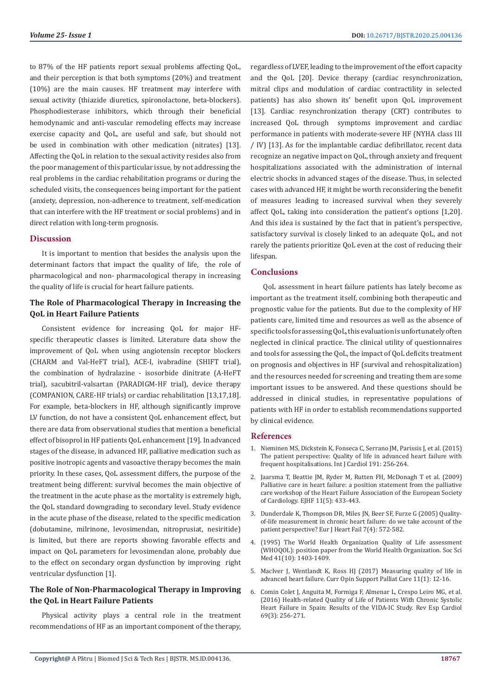to 87% of the HF patients report sexual problems affecting QoL, and their perception is that both symptoms (20%) and treatment (10%) are the main causes. HF treatment may interfere with sexual activity (thiazide diuretics, spironolactone, beta-blockers). Phosphodiesterase inhibitors, which through their beneficial hemodynamic and anti-vascular remodeling effects may increase exercise capacity and QoL, are useful and safe, but should not be used in combination with other medication (nitrates) [13]. Affecting the QoL in relation to the sexual activity resides also from the poor management of this particular issue, by not addressing the real problems in the cardiac rehabilitation programs or during the scheduled visits, the consequences being important for the patient (anxiety, depression, non-adherence to treatment, self-medication that can interfere with the HF treatment or social problems) and in direct relation with long-term prognosis.

# **Discussion**

It is important to mention that besides the analysis upon the determinant factors that impact the quality of life, the role of pharmacological and non- pharmacological therapy in increasing the quality of life is crucial for heart failure patients.

# **The Role of Pharmacological Therapy in Increasing the QoL in Heart Failure Patients**

Consistent evidence for increasing QoL for major HFspecific therapeutic classes is limited. Literature data show the improvement of QoL when using angiotensin receptor blockers (CHARM and Val-HeFT trial), ACE-I, ivabradine (SHIFT trial), the combination of hydralazine - isosorbide dinitrate (A-HeFT trial), sacubitril-valsartan (PARADIGM-HF trial), device therapy (COMPANION, CARE-HF trials) or cardiac rehabilitation [13,17,18]. For example, beta-blockers in HF, although significantly improve LV function, do not have a consistent QoL enhancement effect, but there are data from observational studies that mention a beneficial effect of bisoprol in HF patients QoL enhancement [19]. In advanced stages of the disease, in advanced HF, palliative medication such as positive inotropic agents and vasoactive therapy becomes the main priority. In these cases, QoL assessment differs, the purpose of the treatment being different: survival becomes the main objective of the treatment in the acute phase as the mortality is extremely high, the QoL standard downgrading to secondary level. Study evidence in the acute phase of the disease, related to the specific medication (dobutamine, milrinone, levosimendan, nitroprusiat, nesiritide) is limited, but there are reports showing favorable effects and impact on QoL parameters for levosimendan alone, probably due to the effect on secondary organ dysfunction by improving right ventricular dysfunction [1].

# **The Role of Non-Pharmacological Therapy in Improving the QoL in Heart Failure Patients**

Physical activity plays a central role in the treatment recommendations of HF as an important component of the therapy, regardless of LVEF, leading to the improvement of the effort capacity and the QoL [20]. Device therapy (cardiac resynchronization, mitral clips and modulation of cardiac contractility in selected patients) has also shown its' benefit upon QoL improvement [13]. Cardiac resynchronization therapy (CRT) contributes to increased QoL through symptoms improvement and cardiac performance in patients with moderate-severe HF (NYHA class III / IV) [13]. As for the implantable cardiac defibrillator, recent data recognize an negative impact on QoL, through anxiety and frequent hospitalizations associated with the administration of internal electric shocks in advanced stages of the disease. Thus, in selected cases with advanced HF, it might be worth reconsidering the benefit of measures leading to increased survival when they severely affect QoL, taking into consideration the patient's options [1,20]. And this idea is sustained by the fact that in patient's perspective, satisfactory survival is closely linked to an adequate QoL, and not rarely the patients prioritize QoL even at the cost of reducing their lifespan.

# **Conclusions**

QoL assessment in heart failure patients has lately become as important as the treatment itself, combining both therapeutic and prognostic value for the patients. But due to the complexity of HF patients care, limited time and resources as well as the absence of specific tools for assessing QoL, this evaluation is unfortunately often neglected in clinical practice. The clinical utility of questionnaires and tools for assessing the QoL, the impact of QoL deficits treatment on prognosis and objectives in HF (survival and rehospitalization) and the resources needed for screening and treating them are some important issues to be answered. And these questions should be addressed in clinical studies, in representative populations of patients with HF in order to establish recommendations supported by clinical evidence.

# **References**

- 1. [Nieminen MS, Dickstein K, Fonseca C, Serrano JM, Parissis J, et al. \(2015\)](https://www.ncbi.nlm.nih.gov/pubmed/25981363) [The patient perspective: Quality of life in advanced heart failure with](https://www.ncbi.nlm.nih.gov/pubmed/25981363) [frequent hospitalisations. Int J Cardiol 191: 256-264.](https://www.ncbi.nlm.nih.gov/pubmed/25981363)
- 2. [Jaarsma T, Beattie JM, Ryder M, Rutten FH, McDonagh T et al. \(2009\)](https://www.ncbi.nlm.nih.gov/pubmed/19386813) [Palliative care in heart failure: a position statement from the palliative](https://www.ncbi.nlm.nih.gov/pubmed/19386813) [care workshop of the Heart Failure Association of the European Society](https://www.ncbi.nlm.nih.gov/pubmed/19386813) [of Cardiology. EJHF 11\(5\): 433-443.](https://www.ncbi.nlm.nih.gov/pubmed/19386813)
- 3. [Dunderdale K, Thompson DR, Miles JN, Beer SF, Furze G \(2005\) Quality](https://www.ncbi.nlm.nih.gov/pubmed/15921797)[of-life measurement in chronic heart failure: do we take account of the](https://www.ncbi.nlm.nih.gov/pubmed/15921797) [patient perspective? Eur J Heart Fail 7\(4\): 572-582.](https://www.ncbi.nlm.nih.gov/pubmed/15921797)
- 4. [\(1995\) The World Health Organization Quality of Life assessment](https://www.ncbi.nlm.nih.gov/pubmed/8560308) [\(WHOQOL\): position paper from the World Health Organization. Soc Sci](https://www.ncbi.nlm.nih.gov/pubmed/8560308) [Med 41\(10\): 1403-1409.](https://www.ncbi.nlm.nih.gov/pubmed/8560308)
- 5. [MacIver J, Wentlandt K, Ross HJ \(2017\) Measuring quality of life in](https://www.ncbi.nlm.nih.gov/pubmed/27926542) [advanced heart failure. Curr Opin Support Palliat Care 11\(1\): 12-16.](https://www.ncbi.nlm.nih.gov/pubmed/27926542)
- 6. [Comin Colet J, Anguita M, Formiga F, Almenar L, Crespo Leiro MG, et al.](https://www.ncbi.nlm.nih.gov/pubmed/26725973) [\(2016\) Health-related Quality of Life of Patients With Chronic Systolic](https://www.ncbi.nlm.nih.gov/pubmed/26725973) [Heart Failure in Spain: Results of the VIDA-IC Study. Rev Esp Cardiol](https://www.ncbi.nlm.nih.gov/pubmed/26725973) [69\(3\): 256-271.](https://www.ncbi.nlm.nih.gov/pubmed/26725973)